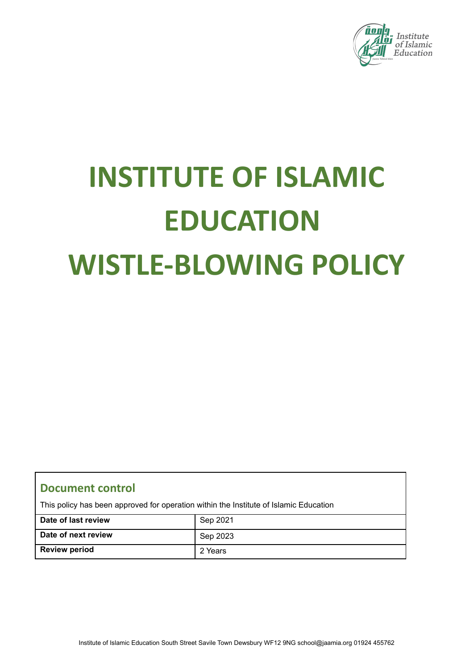

# **INSTITUTE OF ISLAMIC EDUCATION WISTLE-BLOWING POLICY**

# **Document control**

This policy has been approved for operation within the Institute of Islamic Education

| Date of last review  | Sep 2021 |
|----------------------|----------|
| Date of next review  | Sep 2023 |
| <b>Review period</b> | 2 Years  |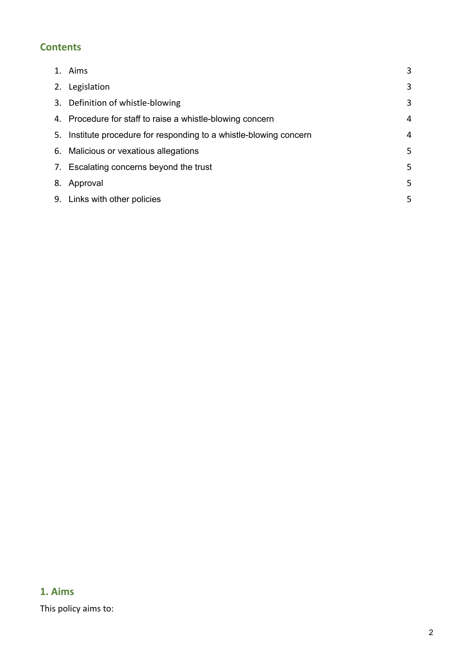## **Contents**

| 1. Aims                                                            | 3 |
|--------------------------------------------------------------------|---|
| 2. Legislation                                                     | 3 |
| 3. Definition of whistle-blowing                                   | 3 |
| 4. Procedure for staff to raise a whistle-blowing concern          | 4 |
| 5. Institute procedure for responding to a whistle-blowing concern | 4 |
| 6. Malicious or vexatious allegations                              | 5 |
| 7. Escalating concerns beyond the trust                            | 5 |
| 8. Approval                                                        | 5 |
| 9. Links with other policies                                       | 5 |

# **1. Aims**

This policy aims to: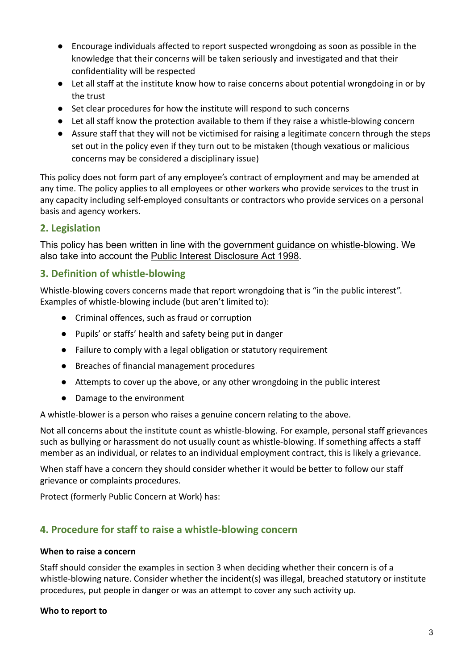- Encourage individuals affected to report suspected wrongdoing as soon as possible in the knowledge that their concerns will be taken seriously and investigated and that their confidentiality will be respected
- Let all staff at the institute know how to raise concerns about potential wrongdoing in or by the trust
- Set clear procedures for how the institute will respond to such concerns
- Let all staff know the protection available to them if they raise a whistle-blowing concern
- Assure staff that they will not be victimised for raising a legitimate concern through the steps set out in the policy even if they turn out to be mistaken (though vexatious or malicious concerns may be considered a disciplinary issue)

This policy does not form part of any employee's contract of employment and may be amended at any time. The policy applies to all employees or other workers who provide services to the trust in any capacity including self-employed consultants or contractors who provide services on a personal basis and agency workers.

## **2. Legislation**

This policy has been written in line with the government guidance on whistle-blowing. We also take into account the Public Interest Disclosure Act 1998.

## **3. Definition of whistle-blowing**

Whistle-blowing covers concerns made that report wrongdoing that is "in the public interest". Examples of whistle-blowing include (but aren't limited to):

- Criminal offences, such as fraud or corruption
- Pupils' or staffs' health and safety being put in danger
- Failure to comply with a legal obligation or statutory requirement
- Breaches of financial management procedures
- Attempts to cover up the above, or any other wrongdoing in the public interest
- Damage to the environment

A whistle-blower is a person who raises a genuine concern relating to the above.

Not all concerns about the institute count as whistle-blowing. For example, personal staff grievances such as bullying or harassment do not usually count as whistle-blowing. If something affects a staff member as an individual, or relates to an individual employment contract, this is likely a grievance.

When staff have a concern they should consider whether it would be better to follow our staff grievance or complaints procedures.

Protect (formerly Public Concern at Work) has:

## **4. Procedure for staff to raise a whistle-blowing concern**

#### **When to raise a concern**

Staff should consider the examples in section 3 when deciding whether their concern is of a whistle-blowing nature. Consider whether the incident(s) was illegal, breached statutory or institute procedures, put people in danger or was an attempt to cover any such activity up.

#### **Who to report to**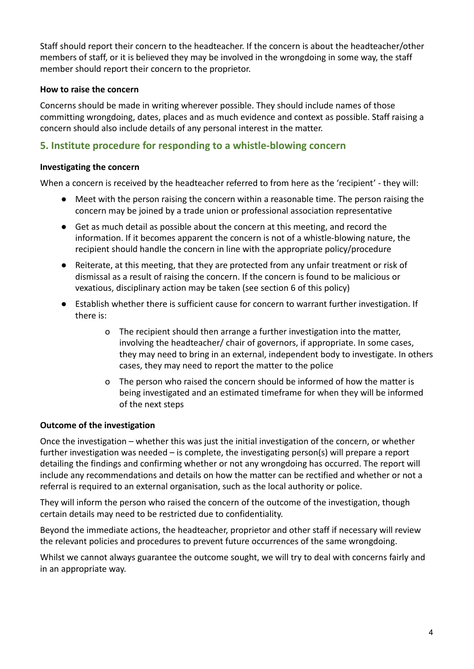Staff should report their concern to the headteacher. If the concern is about the headteacher/other members of staff, or it is believed they may be involved in the wrongdoing in some way, the staff member should report their concern to the proprietor.

#### **How to raise the concern**

Concerns should be made in writing wherever possible. They should include names of those committing wrongdoing, dates, places and as much evidence and context as possible. Staff raising a concern should also include details of any personal interest in the matter.

## **5. Institute procedure for responding to a whistle-blowing concern**

#### **Investigating the concern**

When a concern is received by the headteacher referred to from here as the 'recipient' - they will:

- Meet with the person raising the concern within a reasonable time. The person raising the concern may be joined by a trade union or professional association representative
- Get as much detail as possible about the concern at this meeting, and record the information. If it becomes apparent the concern is not of a whistle-blowing nature, the recipient should handle the concern in line with the appropriate policy/procedure
- Reiterate, at this meeting, that they are protected from any unfair treatment or risk of dismissal as a result of raising the concern. If the concern is found to be malicious or vexatious, disciplinary action may be taken (see section 6 of this policy)
- Establish whether there is sufficient cause for concern to warrant further investigation. If there is:
	- o The recipient should then arrange a further investigation into the matter, involving the headteacher/ chair of governors, if appropriate. In some cases, they may need to bring in an external, independent body to investigate. In others cases, they may need to report the matter to the police
	- o The person who raised the concern should be informed of how the matter is being investigated and an estimated timeframe for when they will be informed of the next steps

#### **Outcome of the investigation**

Once the investigation – whether this was just the initial investigation of the concern, or whether further investigation was needed – is complete, the investigating person(s) will prepare a report detailing the findings and confirming whether or not any wrongdoing has occurred. The report will include any recommendations and details on how the matter can be rectified and whether or not a referral is required to an external organisation, such as the local authority or police.

They will inform the person who raised the concern of the outcome of the investigation, though certain details may need to be restricted due to confidentiality.

Beyond the immediate actions, the headteacher, proprietor and other staff if necessary will review the relevant policies and procedures to prevent future occurrences of the same wrongdoing.

Whilst we cannot always guarantee the outcome sought, we will try to deal with concerns fairly and in an appropriate way.